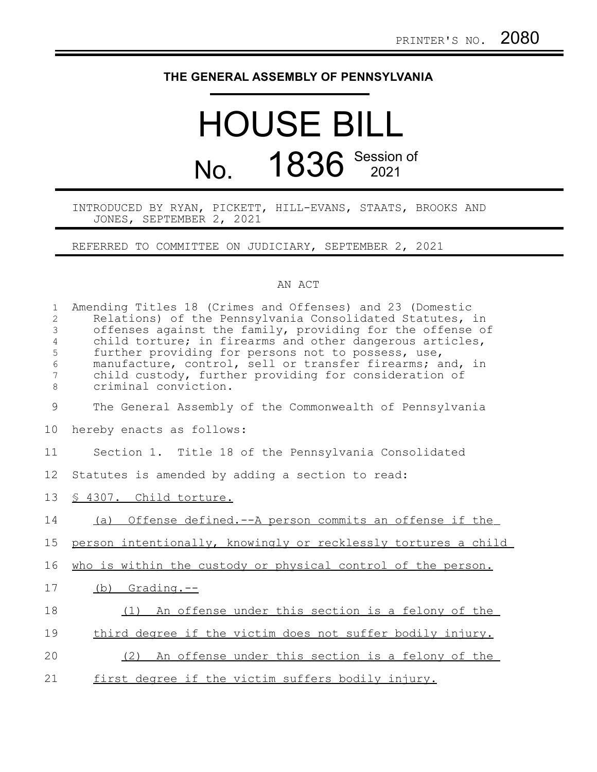## **THE GENERAL ASSEMBLY OF PENNSYLVANIA**

## HOUSE BILL No. 1836 Session of

INTRODUCED BY RYAN, PICKETT, HILL-EVANS, STAATS, BROOKS AND JONES, SEPTEMBER 2, 2021

REFERRED TO COMMITTEE ON JUDICIARY, SEPTEMBER 2, 2021

## AN ACT

| $\mathbf 1$<br>$\overline{2}$<br>3<br>$\overline{4}$<br>5<br>$\sqrt{6}$<br>$\overline{7}$<br>8 | Amending Titles 18 (Crimes and Offenses) and 23 (Domestic<br>Relations) of the Pennsylvania Consolidated Statutes, in<br>offenses against the family, providing for the offense of<br>child torture; in firearms and other dangerous articles,<br>further providing for persons not to possess, use,<br>manufacture, control, sell or transfer firearms; and, in<br>child custody, further providing for consideration of<br>criminal conviction. |
|------------------------------------------------------------------------------------------------|---------------------------------------------------------------------------------------------------------------------------------------------------------------------------------------------------------------------------------------------------------------------------------------------------------------------------------------------------------------------------------------------------------------------------------------------------|
| 9                                                                                              | The General Assembly of the Commonwealth of Pennsylvania                                                                                                                                                                                                                                                                                                                                                                                          |
| 10                                                                                             | hereby enacts as follows:                                                                                                                                                                                                                                                                                                                                                                                                                         |
| 11                                                                                             | Section 1. Title 18 of the Pennsylvania Consolidated                                                                                                                                                                                                                                                                                                                                                                                              |
| 12                                                                                             | Statutes is amended by adding a section to read:                                                                                                                                                                                                                                                                                                                                                                                                  |
| 13                                                                                             | § 4307. Child torture.                                                                                                                                                                                                                                                                                                                                                                                                                            |
| 14                                                                                             | (a) Offense defined.--A person commits an offense if the                                                                                                                                                                                                                                                                                                                                                                                          |
| 15                                                                                             | person intentionally, knowingly or recklessly tortures a child                                                                                                                                                                                                                                                                                                                                                                                    |
| 16                                                                                             | who is within the custody or physical control of the person.                                                                                                                                                                                                                                                                                                                                                                                      |
| 17                                                                                             | $(b)$ Grading. $-$ -                                                                                                                                                                                                                                                                                                                                                                                                                              |
| 18                                                                                             | (1) An offense under this section is a felony of the                                                                                                                                                                                                                                                                                                                                                                                              |
| 19                                                                                             | third degree if the victim does not suffer bodily injury.                                                                                                                                                                                                                                                                                                                                                                                         |
| 20                                                                                             | (2) An offense under this section is a felony of the                                                                                                                                                                                                                                                                                                                                                                                              |
| 21                                                                                             | first degree if the victim suffers bodily injury.                                                                                                                                                                                                                                                                                                                                                                                                 |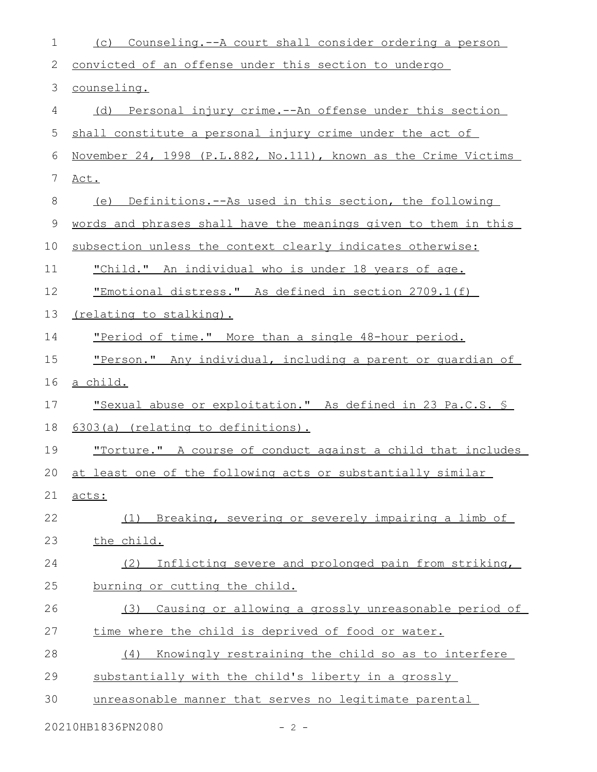| $\mathbf 1$  | Counseling.--A court shall consider ordering a person<br>(C)        |
|--------------|---------------------------------------------------------------------|
| $\mathbf{2}$ | convicted of an offense under this section to undergo               |
| 3            | counseling.                                                         |
| 4            | (d) Personal injury crime.--An offense under this section           |
| 5            | shall constitute a personal injury crime under the act of           |
| 6            | November 24, 1998 (P.L.882, No.111), known as the Crime Victims     |
| 7            | Act.                                                                |
| $8\,$        | (e) Definitions.--As used in this section, the following            |
| 9            | words and phrases shall have the meanings given to them in this     |
| 10           | subsection unless the context clearly indicates otherwise:          |
| 11           | <u>"Child." An individual who is under 18 years of age.</u>         |
| 12           | "Emotional distress." As defined in section 2709.1(f)               |
| 13           | (relating to stalking).                                             |
| 14           | "Period of time." More than a single 48-hour period.                |
| 15           | "Person." Any individual, including a parent or quardian of         |
| 16           | <u>a child.</u>                                                     |
| 17           | <u>"Sexual abuse or exploitation." As defined in 23 Pa.C.S. §</u>   |
| 18           | 6303(a) (relating to definitions).                                  |
| 19           | <u>"Torture." A course of conduct against a child that includes</u> |
| 20           | at least one of the following acts or substantially similar         |
| 21           | acts:                                                               |
| 22           | (1) Breaking, severing or severely impairing a limb of              |
| 23           | the child.                                                          |
| 24           | Inflicting severe and prolonged pain from striking,<br>(2)          |
| 25           | burning or cutting the child.                                       |
| 26           | Causing or allowing a grossly unreasonable period of<br>(3)         |
| 27           | time where the child is deprived of food or water.                  |
| 28           | Knowingly restraining the child so as to interfere<br>(4)           |
| 29           | substantially with the child's liberty in a grossly                 |
| 30           | unreasonable manner that serves no legitimate parental              |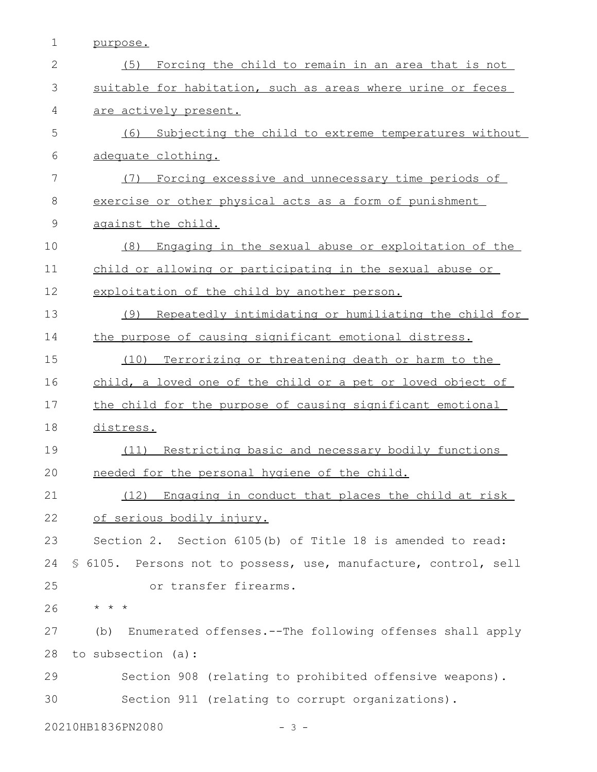purpose. 1

| $\mathbf{2}$ | (5)<br>Forcing the child to remain in an area that is not        |
|--------------|------------------------------------------------------------------|
| 3            | suitable for habitation, such as areas where urine or feces      |
| 4            | are actively present.                                            |
| 5            | (6)<br>Subjecting the child to extreme temperatures without      |
| 6            | adequate clothing.                                               |
| 7            | Forcing excessive and unnecessary time periods of<br>(7)         |
| $8\,$        | exercise or other physical acts as a form of punishment          |
| $\mathsf 9$  | against the child.                                               |
| 10           | Engaging in the sexual abuse or exploitation of the<br>(8)       |
| 11           | child or allowing or participating in the sexual abuse or        |
| 12           | exploitation of the child by another person.                     |
| 13           | Repeatedly intimidating or humiliating the child for<br>(9)      |
| 14           | the purpose of causing significant emotional distress.           |
| 15           | Terrorizing or threatening death or harm to the<br>(10)          |
| 16           | child, a loved one of the child or a pet or loved object of      |
| 17           | the child for the purpose of causing significant emotional       |
| 18           | distress.                                                        |
| 19           | (11) Restricting basic and necessary bodily functions            |
| 20           | needed for the personal hygiene of the child.                    |
| 21           | (12) Engaging in conduct that places the child at risk           |
| 22           | of serious bodily injury.                                        |
| 23           | Section 2. Section 6105(b) of Title 18 is amended to read:       |
| 24           | \$ 6105. Persons not to possess, use, manufacture, control, sell |
| 25           | or transfer firearms.                                            |
| 26           | $\star$ $\star$ $\star$                                          |
| 27           | Enumerated offenses.--The following offenses shall apply<br>(b)  |
| 28           | to subsection (a):                                               |
| 29           | Section 908 (relating to prohibited offensive weapons).          |
| 30           | Section 911 (relating to corrupt organizations).                 |
|              |                                                                  |

20210HB1836PN2080 - 3 -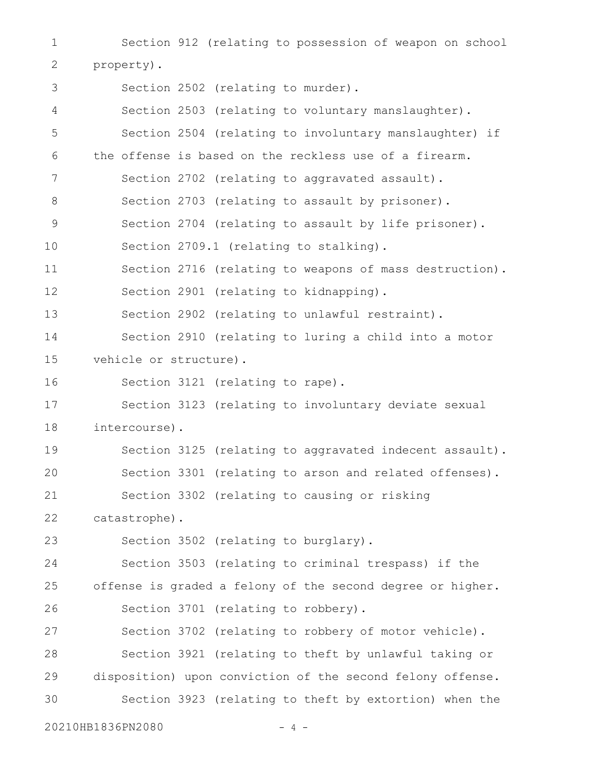Section 912 (relating to possession of weapon on school property). Section 2502 (relating to murder). Section 2503 (relating to voluntary manslaughter). Section 2504 (relating to involuntary manslaughter) if the offense is based on the reckless use of a firearm. Section 2702 (relating to aggravated assault). Section 2703 (relating to assault by prisoner). Section 2704 (relating to assault by life prisoner). Section 2709.1 (relating to stalking). Section 2716 (relating to weapons of mass destruction). Section 2901 (relating to kidnapping). Section 2902 (relating to unlawful restraint). Section 2910 (relating to luring a child into a motor vehicle or structure). Section 3121 (relating to rape). Section 3123 (relating to involuntary deviate sexual intercourse). Section 3125 (relating to aggravated indecent assault). Section 3301 (relating to arson and related offenses). Section 3302 (relating to causing or risking catastrophe). Section 3502 (relating to burglary). Section 3503 (relating to criminal trespass) if the offense is graded a felony of the second degree or higher. Section 3701 (relating to robbery). Section 3702 (relating to robbery of motor vehicle). Section 3921 (relating to theft by unlawful taking or disposition) upon conviction of the second felony offense. Section 3923 (relating to theft by extortion) when the 1 2 3 4 5 6 7 8 9 10 11 12 13 14 15 16 17 18 19 20 21 22 23 24 25 26 27 28 29 30

20210HB1836PN2080 - 4 -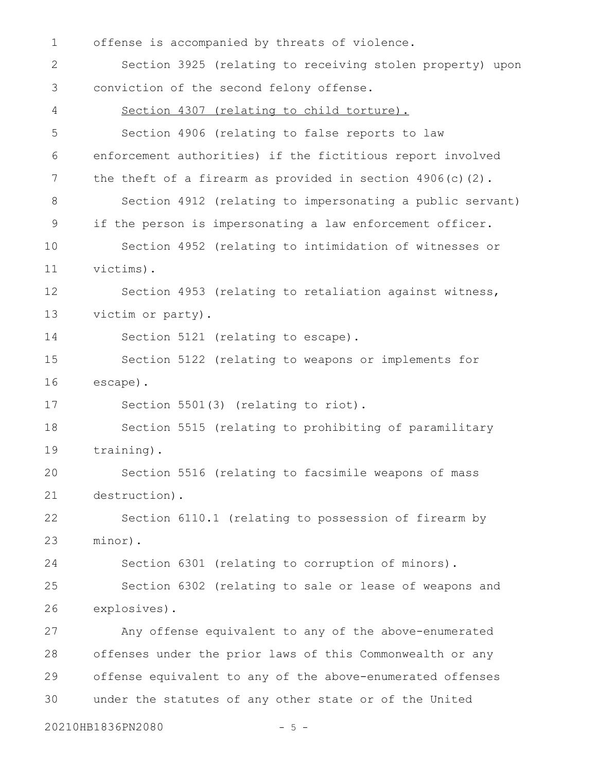offense is accompanied by threats of violence. Section 3925 (relating to receiving stolen property) upon conviction of the second felony offense. Section 4307 (relating to child torture). Section 4906 (relating to false reports to law enforcement authorities) if the fictitious report involved the theft of a firearm as provided in section  $4906(c)(2)$ . Section 4912 (relating to impersonating a public servant) if the person is impersonating a law enforcement officer. Section 4952 (relating to intimidation of witnesses or victims). Section 4953 (relating to retaliation against witness, victim or party). Section 5121 (relating to escape). Section 5122 (relating to weapons or implements for escape). Section 5501(3) (relating to riot). Section 5515 (relating to prohibiting of paramilitary training). Section 5516 (relating to facsimile weapons of mass destruction). Section 6110.1 (relating to possession of firearm by minor). Section 6301 (relating to corruption of minors). Section 6302 (relating to sale or lease of weapons and explosives). Any offense equivalent to any of the above-enumerated offenses under the prior laws of this Commonwealth or any offense equivalent to any of the above-enumerated offenses under the statutes of any other state or of the United 1 2 3 4 5 6 7 8 9 10 11 12 13 14 15 16 17 18 19 20 21 22 23 24 25 26 27 28 29 30

20210HB1836PN2080 - 5 -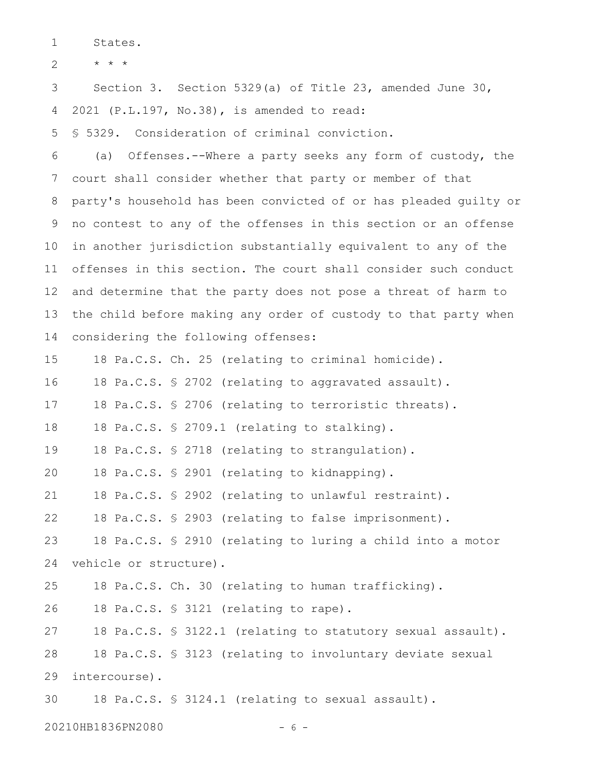States. 1

\* \* \* 2

Section 3. Section 5329(a) of Title 23, amended June 30, 2021 (P.L.197, No.38), is amended to read: 3 4

§ 5329. Consideration of criminal conviction. 5

(a) Offenses.--Where a party seeks any form of custody, the court shall consider whether that party or member of that party's household has been convicted of or has pleaded guilty or no contest to any of the offenses in this section or an offense in another jurisdiction substantially equivalent to any of the offenses in this section. The court shall consider such conduct and determine that the party does not pose a threat of harm to the child before making any order of custody to that party when considering the following offenses: 6 7 8 9 10 11 12 13 14

18 Pa.C.S. Ch. 25 (relating to criminal homicide). 15

18 Pa.C.S. § 2702 (relating to aggravated assault). 16

18 Pa.C.S. § 2706 (relating to terroristic threats). 17

18 Pa.C.S. § 2709.1 (relating to stalking). 18

18 Pa.C.S. § 2718 (relating to strangulation). 19

18 Pa.C.S. § 2901 (relating to kidnapping). 20

18 Pa.C.S. § 2902 (relating to unlawful restraint). 21

18 Pa.C.S. § 2903 (relating to false imprisonment). 22

18 Pa.C.S. § 2910 (relating to luring a child into a motor vehicle or structure). 23 24

18 Pa.C.S. Ch. 30 (relating to human trafficking). 25

18 Pa.C.S. § 3121 (relating to rape). 26

18 Pa.C.S. § 3122.1 (relating to statutory sexual assault). 18 Pa.C.S. § 3123 (relating to involuntary deviate sexual intercourse). 27 28 29

18 Pa.C.S. § 3124.1 (relating to sexual assault). 30

20210HB1836PN2080 - 6 -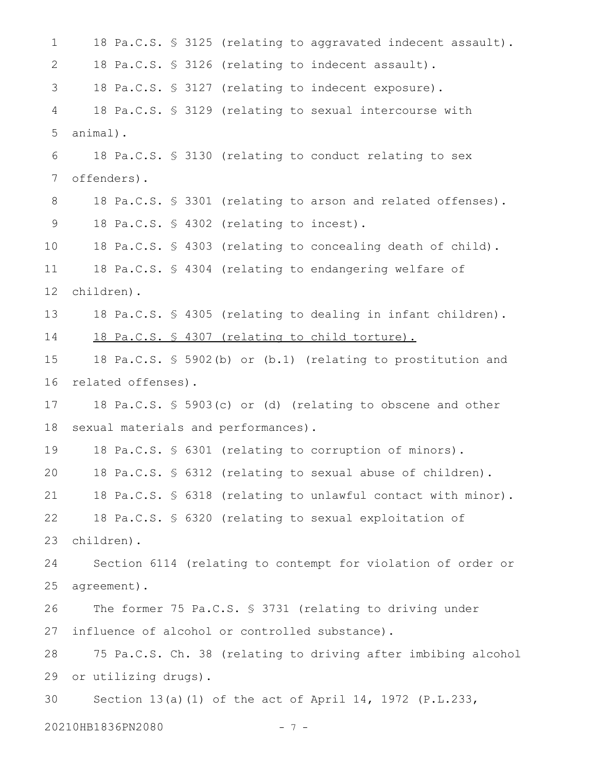18 Pa.C.S. § 3125 (relating to aggravated indecent assault). 18 Pa.C.S. § 3126 (relating to indecent assault). 18 Pa.C.S. § 3127 (relating to indecent exposure). 18 Pa.C.S. § 3129 (relating to sexual intercourse with animal). 18 Pa.C.S. § 3130 (relating to conduct relating to sex offenders). 18 Pa.C.S. § 3301 (relating to arson and related offenses). 18 Pa.C.S. § 4302 (relating to incest). 18 Pa.C.S. § 4303 (relating to concealing death of child). 18 Pa.C.S. § 4304 (relating to endangering welfare of children). 18 Pa.C.S. § 4305 (relating to dealing in infant children). 18 Pa.C.S. § 4307 (relating to child torture). 18 Pa.C.S. § 5902(b) or (b.1) (relating to prostitution and related offenses). 18 Pa.C.S. § 5903(c) or (d) (relating to obscene and other sexual materials and performances). 18 Pa.C.S. § 6301 (relating to corruption of minors). 18 Pa.C.S. § 6312 (relating to sexual abuse of children). 18 Pa.C.S. § 6318 (relating to unlawful contact with minor). 18 Pa.C.S. § 6320 (relating to sexual exploitation of children). Section 6114 (relating to contempt for violation of order or agreement). The former 75 Pa.C.S. § 3731 (relating to driving under influence of alcohol or controlled substance). 75 Pa.C.S. Ch. 38 (relating to driving after imbibing alcohol or utilizing drugs). Section 13(a)(1) of the act of April 14, 1972 (P.L.233, 20210HB1836PN2080 - 7 - 1 2 3 4 5 6 7 8 9 10 11 12 13 14 15 16 17 18 19 20 21 22 23 24 25 26 27 28 29 30